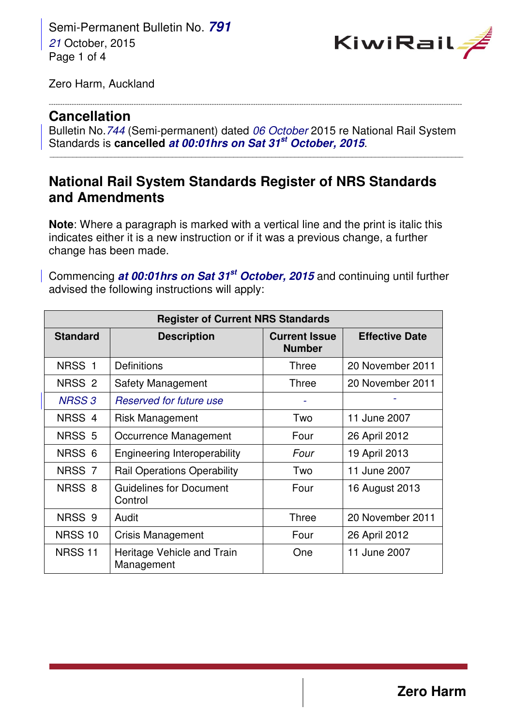Semi-Permanent Bulletin No. **791** 21 October, 2015 Page 1 of 4



Zero Harm, Auckland

## **Cancellation**

Bulletin No.744 (Semi-permanent) dated 06 October 2015 re National Rail System Standards is **cancelled at 00:01hrs on Sat 31st October, 2015**.

\_\_\_\_\_\_\_\_\_\_\_\_\_\_\_\_\_\_\_\_\_\_\_\_\_\_\_\_\_\_\_\_\_\_\_\_\_\_\_\_\_\_\_\_\_\_\_\_\_\_\_\_\_\_\_\_\_\_\_\_\_\_\_\_\_\_\_\_\_\_\_\_\_\_\_\_\_\_\_\_\_\_\_\_\_\_\_\_\_\_\_\_\_\_\_\_\_\_\_\_\_\_\_\_\_\_\_\_

------------------------------------------------------------------------------------------------------------------------------------------------------------------------------------

# **National Rail System Standards Register of NRS Standards and Amendments**

**Note**: Where a paragraph is marked with a vertical line and the print is italic this indicates either it is a new instruction or if it was a previous change, a further change has been made.

Commencing **at 00:01hrs on Sat 31st October, 2015** and continuing until further advised the following instructions will apply:

| <b>Register of Current NRS Standards</b> |                                           |                                       |                       |  |  |
|------------------------------------------|-------------------------------------------|---------------------------------------|-----------------------|--|--|
| <b>Standard</b>                          | <b>Description</b>                        | <b>Current Issue</b><br><b>Number</b> | <b>Effective Date</b> |  |  |
| NRSS <sub>1</sub>                        | Definitions                               | Three                                 | 20 November 2011      |  |  |
| NRSS <sub>2</sub>                        | <b>Safety Management</b>                  | Three                                 | 20 November 2011      |  |  |
| <b>NRSS 3</b>                            | Reserved for future use                   |                                       |                       |  |  |
| NRSS <sub>4</sub>                        | <b>Risk Management</b>                    | Two                                   | 11 June 2007          |  |  |
| NRSS <sub>5</sub>                        | Occurrence Management                     | Four                                  | 26 April 2012         |  |  |
| NRSS <sub>6</sub>                        | Engineering Interoperability              | Four                                  | 19 April 2013         |  |  |
| NRSS <sub>7</sub>                        | <b>Rail Operations Operability</b>        | Two                                   | 11 June 2007          |  |  |
| NRSS <sub>8</sub>                        | <b>Guidelines for Document</b><br>Control | Four                                  | 16 August 2013        |  |  |
| NRSS <sub>9</sub>                        | Audit                                     | <b>Three</b>                          | 20 November 2011      |  |  |
| <b>NRSS 10</b>                           | <b>Crisis Management</b>                  | Four                                  | 26 April 2012         |  |  |
| <b>NRSS 11</b>                           | Heritage Vehicle and Train<br>Management  | One                                   | 11 June 2007          |  |  |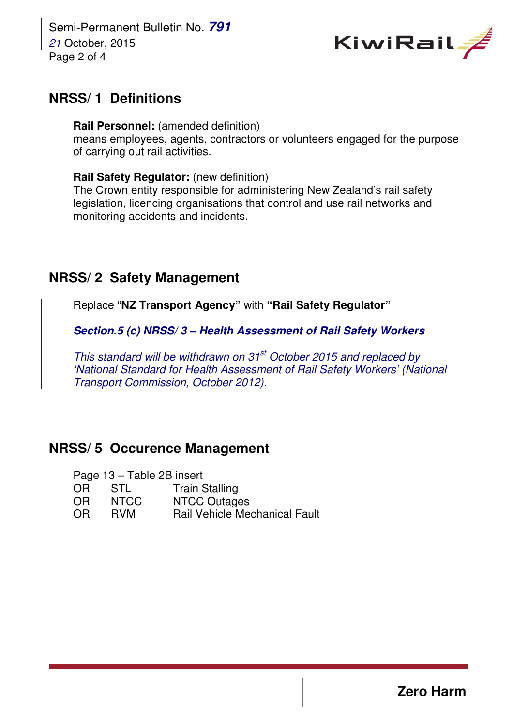Semi-Permanent Bulletin No. **791** 21 October, 2015 Page 2 of 4



## **NRSS/ 1 Definitions**

**Rail Personnel:** (amended definition) means employees, agents, contractors or volunteers engaged for the purpose of carrying out rail activities.

#### **Rail Safety Regulator:** (new definition)

The Crown entity responsible for administering New Zealand's rail safety legislation, licencing organisations that control and use rail networks and monitoring accidents and incidents.

### **NRSS/ 2 Safety Management**

Replace "**NZ Transport Agency"** with **"Rail Safety Regulator"**

**Section.5 (c) NRSS/ 3 – Health Assessment of Rail Safety Workers** 

This standard will be withdrawn on  $31<sup>st</sup>$  October 2015 and replaced by 'National Standard for Health Assessment of Rail Safety Workers' (National Transport Commission, October 2012).

# **NRSS/ 5 Occurence Management**

| Page 13 - Table 2B insert |             |                                      |  |  |
|---------------------------|-------------|--------------------------------------|--|--|
| OR.                       | - STL       | <b>Train Stalling</b>                |  |  |
| OR.                       | <b>NTCC</b> | <b>NTCC Outages</b>                  |  |  |
| O <sub>R</sub>            | <b>RVM</b>  | <b>Rail Vehicle Mechanical Fault</b> |  |  |

**Zero Harm**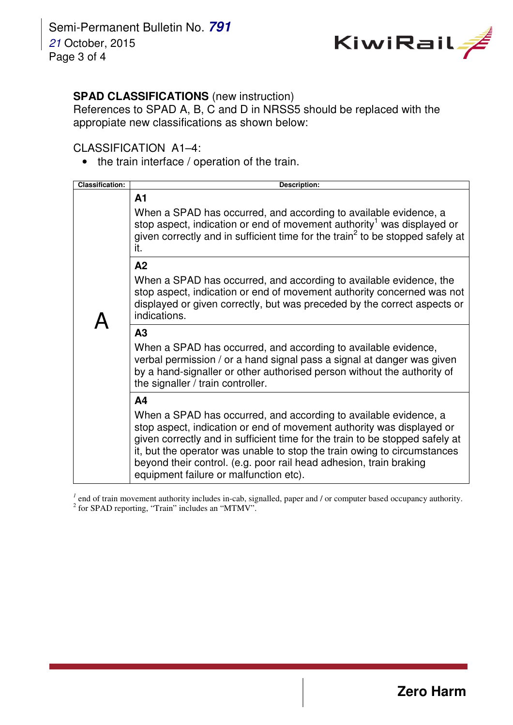

### **SPAD CLASSIFICATIONS** (new instruction)

References to SPAD A, B, C and D in NRSS5 should be replaced with the appropiate new classifications as shown below:

### CLASSIFICATION A1–4:

• the train interface / operation of the train.

| <b>Classification:</b> | <b>Description:</b>                                                                                                                                                                                                                                                                                                                                                                                                                     |  |
|------------------------|-----------------------------------------------------------------------------------------------------------------------------------------------------------------------------------------------------------------------------------------------------------------------------------------------------------------------------------------------------------------------------------------------------------------------------------------|--|
|                        | A <sub>1</sub><br>When a SPAD has occurred, and according to available evidence, a<br>stop aspect, indication or end of movement authority <sup>1</sup> was displayed or<br>given correctly and in sufficient time for the train <sup>2</sup> to be stopped safely at<br>it.                                                                                                                                                            |  |
|                        | A2<br>When a SPAD has occurred, and according to available evidence, the<br>stop aspect, indication or end of movement authority concerned was not<br>displayed or given correctly, but was preceded by the correct aspects or<br>indications.                                                                                                                                                                                          |  |
|                        | A3<br>When a SPAD has occurred, and according to available evidence,<br>verbal permission / or a hand signal pass a signal at danger was given<br>by a hand-signaller or other authorised person without the authority of<br>the signaller / train controller.                                                                                                                                                                          |  |
|                        | A <sub>4</sub><br>When a SPAD has occurred, and according to available evidence, a<br>stop aspect, indication or end of movement authority was displayed or<br>given correctly and in sufficient time for the train to be stopped safely at<br>it, but the operator was unable to stop the train owing to circumstances<br>beyond their control. (e.g. poor rail head adhesion, train braking<br>equipment failure or malfunction etc). |  |

<sup>1</sup> end of train movement authority includes in-cab, signalled, paper and  $\ell$  or computer based occupancy authority.<br><sup>2</sup> for SPAD reporting, "Train" includes an "MTMV".